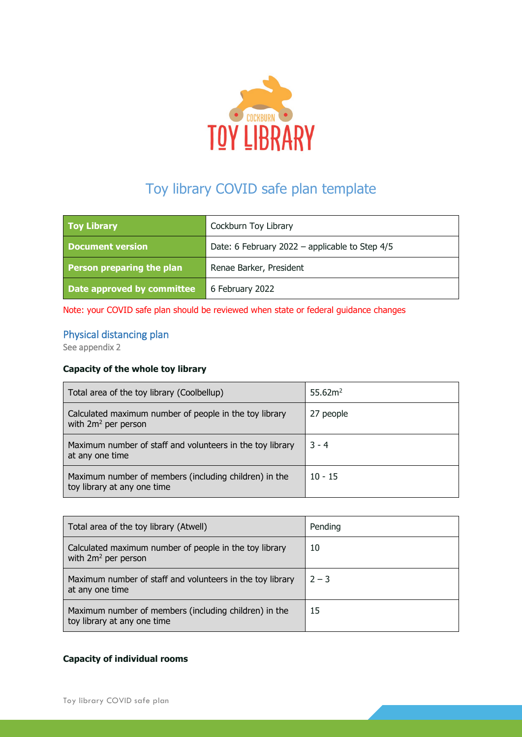

# Toy library COVID safe plan template

| <b>Toy Library</b>         | Cockburn Toy Library                           |
|----------------------------|------------------------------------------------|
| <b>Document version</b>    | Date: 6 February 2022 - applicable to Step 4/5 |
| Person preparing the plan  | Renae Barker, President                        |
| Date approved by committee | 6 February 2022                                |

Note: your COVID safe plan should be reviewed when state or federal guidance changes

# Physical distancing plan

See appendix 2

# **Capacity of the whole toy library**

| Total area of the toy library (Coolbellup)                                           | 55.62 <sup>2</sup> |
|--------------------------------------------------------------------------------------|--------------------|
| Calculated maximum number of people in the toy library<br>with $2m^2$ per person     | 27 people          |
| Maximum number of staff and volunteers in the toy library<br>at any one time         | $3 - 4$            |
| Maximum number of members (including children) in the<br>toy library at any one time | $10 - 15$          |

| Total area of the toy library (Atwell)                                               | Pending |
|--------------------------------------------------------------------------------------|---------|
| Calculated maximum number of people in the toy library<br>with $2m^2$ per person     | 10      |
| Maximum number of staff and volunteers in the toy library<br>at any one time         | $2 - 3$ |
| Maximum number of members (including children) in the<br>toy library at any one time | 15      |

## **Capacity of individual rooms**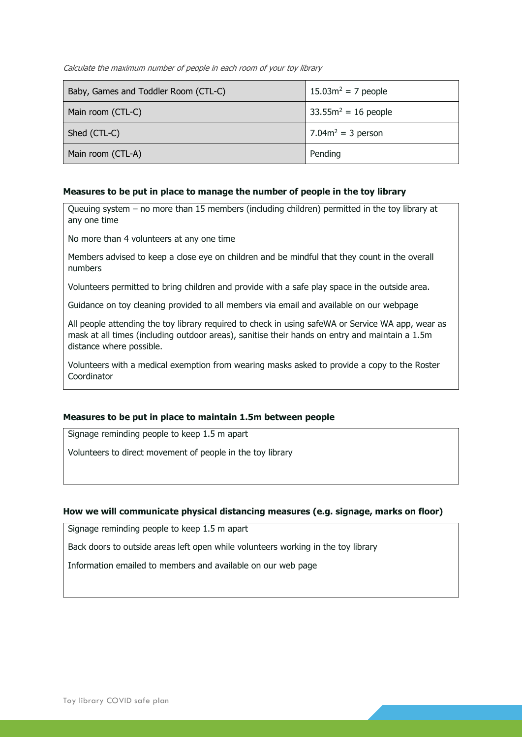Calculate the maximum number of people in each room of your toy library

| Baby, Games and Toddler Room (CTL-C) | $15.03m^2 = 7$ people  |
|--------------------------------------|------------------------|
| Main room (CTL-C)                    | $33.55m^2 = 16$ people |
| Shed (CTL-C)                         | 7.04 $m^2$ = 3 person  |
| Main room (CTL-A)                    | Pending                |

#### **Measures to be put in place to manage the number of people in the toy library**

Queuing system – no more than 15 members (including children) permitted in the toy library at any one time

No more than 4 volunteers at any one time

Members advised to keep a close eye on children and be mindful that they count in the overall numbers

Volunteers permitted to bring children and provide with a safe play space in the outside area.

Guidance on toy cleaning provided to all members via email and available on our webpage

All people attending the toy library required to check in using safeWA or Service WA app, wear as mask at all times (including outdoor areas), sanitise their hands on entry and maintain a 1.5m distance where possible.

Volunteers with a medical exemption from wearing masks asked to provide a copy to the Roster **Coordinator** 

#### **Measures to be put in place to maintain 1.5m between people**

Signage reminding people to keep 1.5 m apart

Volunteers to direct movement of people in the toy library

#### **How we will communicate physical distancing measures (e.g. signage, marks on floor)**

Signage reminding people to keep 1.5 m apart

Back doors to outside areas left open while volunteers working in the toy library

Information emailed to members and available on our web page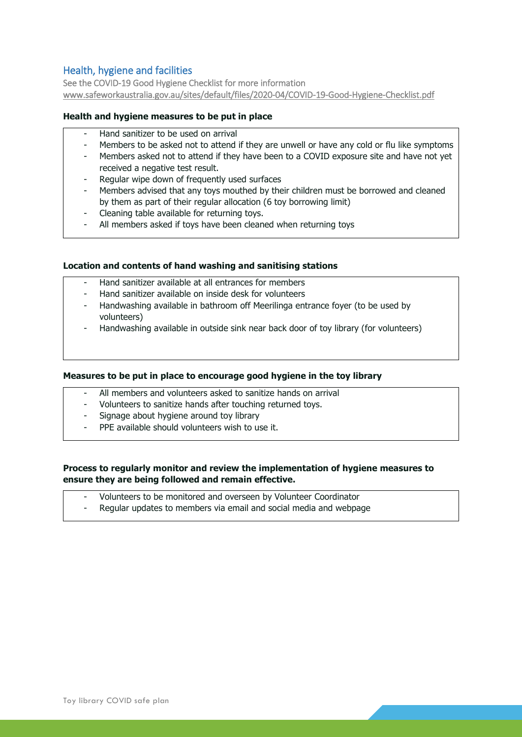# Health, hygiene and facilities

See the COVID-19 Good Hygiene Checklist for more information [www.safeworkaustralia.gov.au/sites/default/files/2020-04/COVID-19-Good-Hygiene-Checklist.pdf](http://www.safeworkaustralia.gov.au/sites/default/files/2020-04/COVID-19-Good-Hygiene-Checklist.pdf) 

## **Health and hygiene measures to be put in place**

- Hand sanitizer to be used on arrival
- Members to be asked not to attend if they are unwell or have any cold or flu like symptoms
- Members asked not to attend if they have been to a COVID exposure site and have not yet received a negative test result.
- Regular wipe down of frequently used surfaces
- Members advised that any toys mouthed by their children must be borrowed and cleaned by them as part of their regular allocation (6 toy borrowing limit)
- Cleaning table available for returning toys.
- All members asked if toys have been cleaned when returning toys

### **Location and contents of hand washing and sanitising stations**

- Hand sanitizer available at all entrances for members
- Hand sanitizer available on inside desk for volunteers
- Handwashing available in bathroom off Meerilinga entrance foyer (to be used by volunteers)
- Handwashing available in outside sink near back door of toy library (for volunteers)

#### **Measures to be put in place to encourage good hygiene in the toy library**

- All members and volunteers asked to sanitize hands on arrival
- Volunteers to sanitize hands after touching returned toys.
- Signage about hygiene around toy library
- PPE available should volunteers wish to use it.

# **Process to regularly monitor and review the implementation of hygiene measures to ensure they are being followed and remain effective.**

- Volunteers to be monitored and overseen by Volunteer Coordinator
- Regular updates to members via email and social media and webpage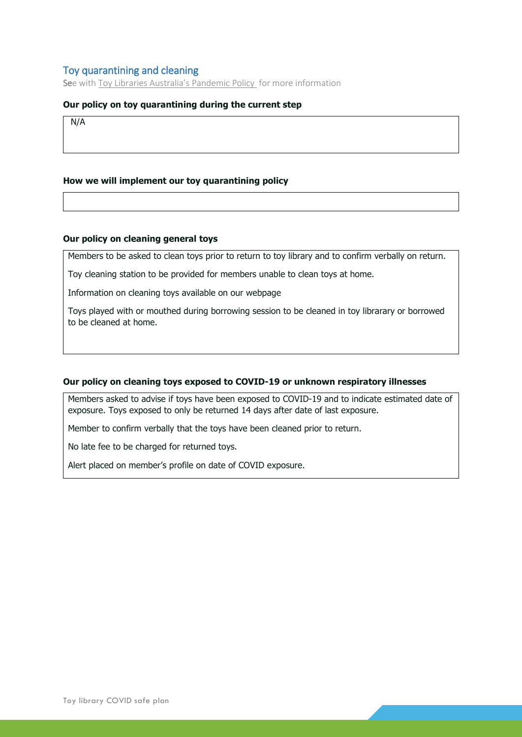# Toy quarantining and cleaning

See with [Toy Libraries Australia's Pandemic Policy](https://www.dropbox.com/home/TLA%20Knowledge%20Base/Coronavirus%20-%20COVID-19?preview=TLA+coronavirus+advice+and+business+continuity+planning+-+050420.pdf) for more information

## **Our policy on toy quarantining during the current step**

N/A

### **How we will implement our toy quarantining policy**

#### **Our policy on cleaning general toys**

Members to be asked to clean toys prior to return to toy library and to confirm verbally on return.

Toy cleaning station to be provided for members unable to clean toys at home.

Information on cleaning toys available on our webpage

Toys played with or mouthed during borrowing session to be cleaned in toy librarary or borrowed to be cleaned at home.

#### **Our policy on cleaning toys exposed to COVID-19 or unknown respiratory illnesses**

Members asked to advise if toys have been exposed to COVID-19 and to indicate estimated date of exposure. Toys exposed to only be returned 14 days after date of last exposure.

Member to confirm verbally that the toys have been cleaned prior to return.

No late fee to be charged for returned toys.

Alert placed on member's profile on date of COVID exposure.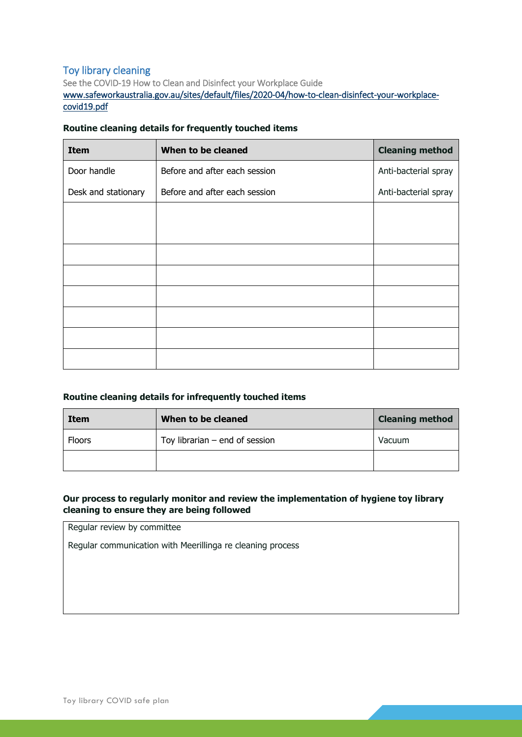# Toy library cleaning

See the COVID-19 How to Clean and Disinfect your Workplace Guide [www.safeworkaustralia.gov.au/sites/default/files/2020-04/how-to-clean-disinfect-your-workplace](https://www.safeworkaustralia.gov.au/sites/default/files/2020-04/how-to-clean-disinfect-your-workplace-covid19.pdf)[covid19.pdf](https://www.safeworkaustralia.gov.au/sites/default/files/2020-04/how-to-clean-disinfect-your-workplace-covid19.pdf) 

## **Routine cleaning details for frequently touched items**

| <b>Item</b>         | When to be cleaned            | <b>Cleaning method</b> |
|---------------------|-------------------------------|------------------------|
| Door handle         | Before and after each session | Anti-bacterial spray   |
| Desk and stationary | Before and after each session | Anti-bacterial spray   |
|                     |                               |                        |
|                     |                               |                        |
|                     |                               |                        |
|                     |                               |                        |
|                     |                               |                        |
|                     |                               |                        |
|                     |                               |                        |
|                     |                               |                        |

## **Routine cleaning details for infrequently touched items**

| Item          | When to be cleaned               | <b>Cleaning method</b> |
|---------------|----------------------------------|------------------------|
| <b>Floors</b> | Toy librarian $-$ end of session | Vacuum                 |
|               |                                  |                        |

# **Our process to regularly monitor and review the implementation of hygiene toy library cleaning to ensure they are being followed**

Regular review by committee

Regular communication with Meerillinga re cleaning process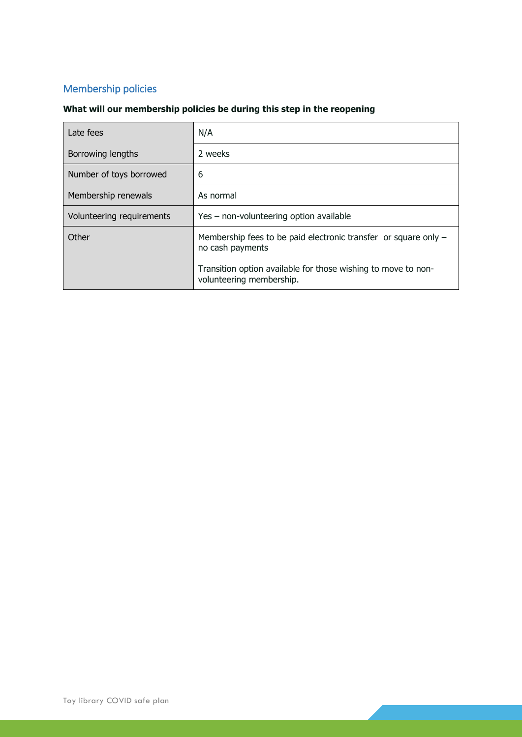# Membership policies

# **What will our membership policies be during this step in the reopening**

| Late fees                 | N/A                                                                                       |
|---------------------------|-------------------------------------------------------------------------------------------|
| Borrowing lengths         | 2 weeks                                                                                   |
| Number of toys borrowed   | 6                                                                                         |
| Membership renewals       | As normal                                                                                 |
| Volunteering requirements | Yes - non-volunteering option available                                                   |
| Other                     | Membership fees to be paid electronic transfer or square only $-$<br>no cash payments     |
|                           | Transition option available for those wishing to move to non-<br>volunteering membership. |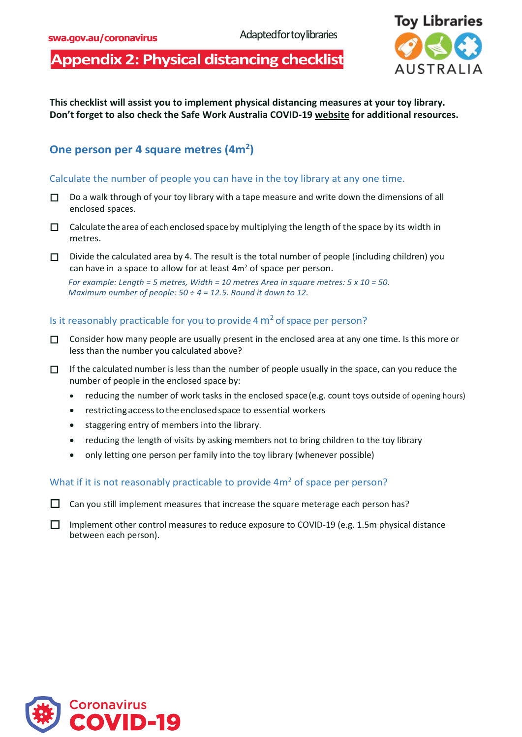# **Appendix 2: Physical distancing checklist**



**This checklist will assist you to implement physical distancing measures at your toy library. Don't forget to also check the Safe Work Australia [COVID-19 website](https://www.safeworkaustralia.gov.au/covid-19-information-workplaces/industry-information/general-industry-information/physical) for additional resources.**

# **One person per 4 square metres (4m<sup>2</sup>)**

# Calculate the number of people you can have in the toy library at any one time.

- $\Box$  Do a walk through of your toy library with a tape measure and write down the dimensions of all enclosed spaces.
- $\Box$  Calculate the area of each enclosed space by multiplying the length of the space by its width in metres.
- Divide the calculated area by 4. The result is the total number of people (including children) you can have in a space to allow for at least  $4m<sup>2</sup>$  of space per person.

*For example: Length = 5 metres, Width = 10 metres Area in square metres: 5 x 10 = 50. Maximum number of people: 50 ÷ 4 = 12.5. Round it down to 12.*

# Is it reasonably practicable for you to provide 4  $m<sup>2</sup>$  of space per person?

- $\Box$  Consider how many people are usually present in the enclosed area at any one time. Is this more or less than the number you calculated above?
- $\Box$  If the calculated number is less than the number of people usually in the space, can you reduce the number of people in the enclosed space by:
	- reducing the number of work tasks in the enclosed space(e.g. count toys outside of opening hours)
	- restrictingaccesstotheenclosedspace to essential workers
	- staggering entry of members into the library.
	- reducing the length of visits by asking members not to bring children to the toy library
	- only letting one person per family into the toy library (whenever possible)

### What if it is not reasonably practicable to provide  $4m<sup>2</sup>$  of space per person?

 $\Box$  Can you still implement measures that increase the square meterage each person has?

Implement other control measures to reduce exposure to COVID-19 (e.g. 1.5m physical distance between each person).